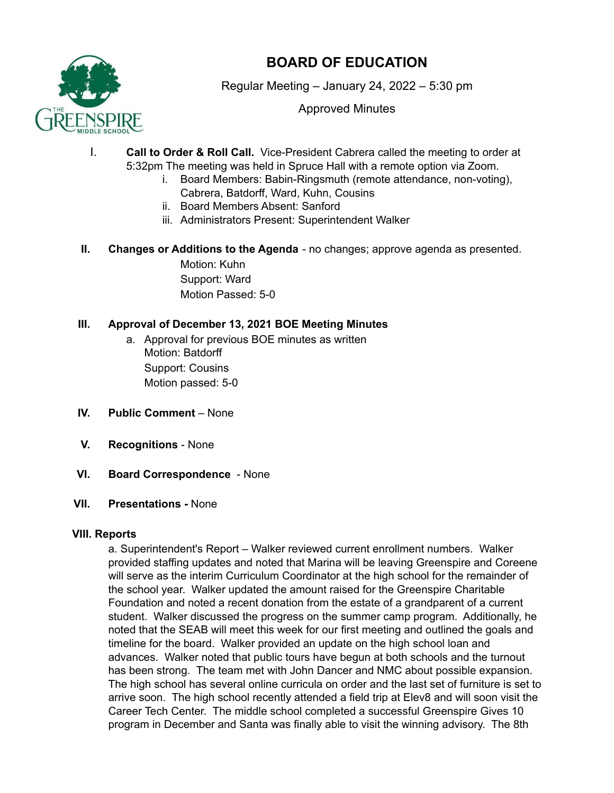

# **BOARD OF EDUCATION**

Regular Meeting – January 24, 2022 – 5:30 pm

Approved Minutes

- I. **Call to Order & Roll Call.** Vice-President Cabrera called the meeting to order at 5:32pm The meeting was held in Spruce Hall with a remote option via Zoom.
	- i. Board Members: Babin-Ringsmuth (remote attendance, non-voting), Cabrera, Batdorff, Ward, Kuhn, Cousins
	- ii. Board Members Absent: Sanford
	- iii. Administrators Present: Superintendent Walker
- **II. Changes or Additions to the Agenda** no changes; approve agenda as presented. Motion: Kuhn Support: Ward

Motion Passed: 5-0

## **III. Approval of December 13, 2021 BOE Meeting Minutes**

- a. Approval for previous BOE minutes as written Motion: Batdorff Support: Cousins Motion passed: 5-0
- **IV. Public Comment** None
- **V. Recognitions** None
- **VI. Board Correspondence** None

#### **VII. Presentations -** None

#### **VIII. Reports**

a. Superintendent's Report – Walker reviewed current enrollment numbers. Walker provided staffing updates and noted that Marina will be leaving Greenspire and Coreene will serve as the interim Curriculum Coordinator at the high school for the remainder of the school year. Walker updated the amount raised for the Greenspire Charitable Foundation and noted a recent donation from the estate of a grandparent of a current student. Walker discussed the progress on the summer camp program. Additionally, he noted that the SEAB will meet this week for our first meeting and outlined the goals and timeline for the board. Walker provided an update on the high school loan and advances. Walker noted that public tours have begun at both schools and the turnout has been strong. The team met with John Dancer and NMC about possible expansion. The high school has several online curricula on order and the last set of furniture is set to arrive soon. The high school recently attended a field trip at Elev8 and will soon visit the Career Tech Center. The middle school completed a successful Greenspire Gives 10 program in December and Santa was finally able to visit the winning advisory. The 8th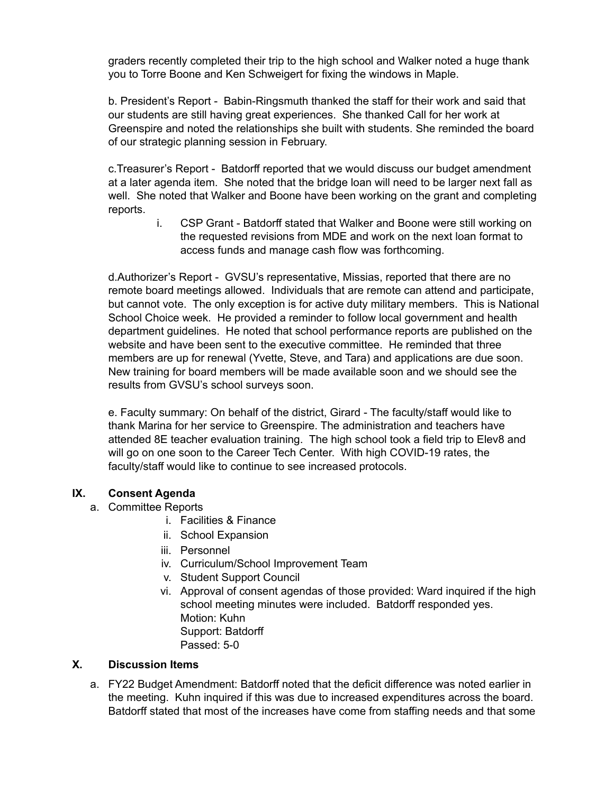graders recently completed their trip to the high school and Walker noted a huge thank you to Torre Boone and Ken Schweigert for fixing the windows in Maple.

b. President's Report - Babin-Ringsmuth thanked the staff for their work and said that our students are still having great experiences. She thanked Call for her work at Greenspire and noted the relationships she built with students. She reminded the board of our strategic planning session in February.

c.Treasurer's Report - Batdorff reported that we would discuss our budget amendment at a later agenda item. She noted that the bridge loan will need to be larger next fall as well. She noted that Walker and Boone have been working on the grant and completing reports.

> i. CSP Grant - Batdorff stated that Walker and Boone were still working on the requested revisions from MDE and work on the next loan format to access funds and manage cash flow was forthcoming.

d.Authorizer's Report - GVSU's representative, Missias, reported that there are no remote board meetings allowed. Individuals that are remote can attend and participate, but cannot vote. The only exception is for active duty military members. This is National School Choice week. He provided a reminder to follow local government and health department guidelines. He noted that school performance reports are published on the website and have been sent to the executive committee. He reminded that three members are up for renewal (Yvette, Steve, and Tara) and applications are due soon. New training for board members will be made available soon and we should see the results from GVSU's school surveys soon.

e. Faculty summary: On behalf of the district, Girard - The faculty/staff would like to thank Marina for her service to Greenspire. The administration and teachers have attended 8E teacher evaluation training. The high school took a field trip to Elev8 and will go on one soon to the Career Tech Center. With high COVID-19 rates, the faculty/staff would like to continue to see increased protocols.

## **IX. Consent Agenda**

- a. Committee Reports
	- i. Facilities & Finance
	- ii. School Expansion
	- iii. Personnel
	- iv. Curriculum/School Improvement Team
	- v. Student Support Council
	- vi. Approval of consent agendas of those provided: Ward inquired if the high school meeting minutes were included. Batdorff responded yes. Motion: Kuhn Support: Batdorff Passed: 5-0

#### **X. Discussion Items**

a. FY22 Budget Amendment: Batdorff noted that the deficit difference was noted earlier in the meeting. Kuhn inquired if this was due to increased expenditures across the board. Batdorff stated that most of the increases have come from staffing needs and that some